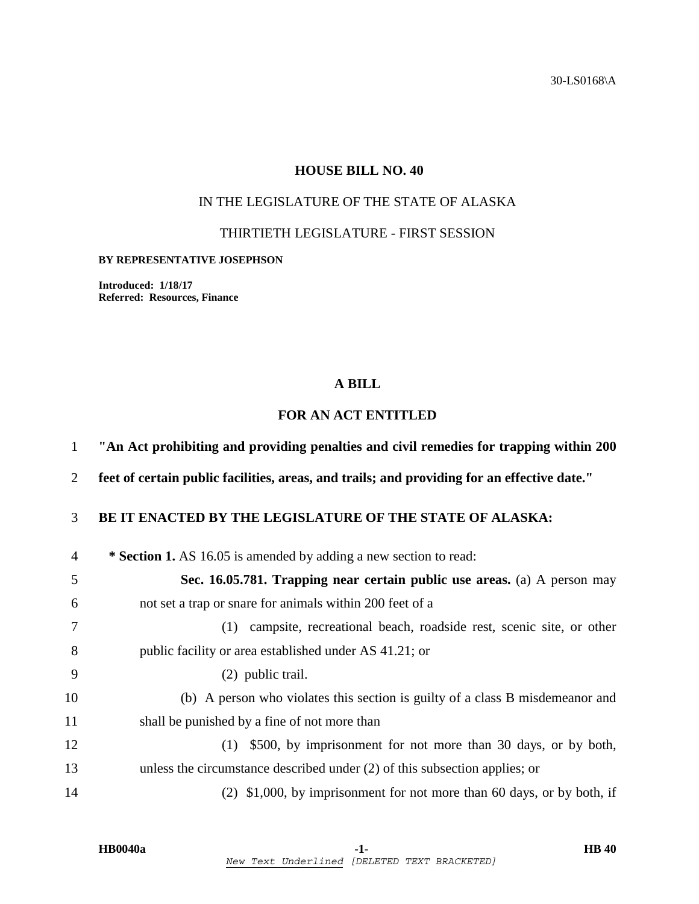30-LS0168\A

## **HOUSE BILL NO. 40**

# IN THE LEGISLATURE OF THE STATE OF ALASKA

THIRTIETH LEGISLATURE - FIRST SESSION

#### **BY REPRESENTATIVE JOSEPHSON**

**Introduced: 1/18/17 Referred: Resources, Finance** 

### **A BILL**

## **FOR AN ACT ENTITLED**

|  | "An Act prohibiting and providing penalties and civil remedies for trapping within 200 |  |  |  |  |  |
|--|----------------------------------------------------------------------------------------|--|--|--|--|--|
|  |                                                                                        |  |  |  |  |  |

2 **feet of certain public facilities, areas, and trails; and providing for an effective date."** 

## 3 **BE IT ENACTED BY THE LEGISLATURE OF THE STATE OF ALASKA:**

| $\overline{4}$ | * Section 1. AS 16.05 is amended by adding a new section to read:             |
|----------------|-------------------------------------------------------------------------------|
| 5              | Sec. 16.05.781. Trapping near certain public use areas. (a) A person may      |
| 6              | not set a trap or snare for animals within 200 feet of a                      |
| 7              | campsite, recreational beach, roadside rest, scenic site, or other<br>(1)     |
| 8              | public facility or area established under AS 41.21; or                        |
| 9              | (2) public trail.                                                             |
| 10             | (b) A person who violates this section is guilty of a class B misdemeanor and |
| 11             | shall be punished by a fine of not more than                                  |
| 12             | (1) \$500, by imprisonment for not more than 30 days, or by both,             |
| 13             | unless the circumstance described under $(2)$ of this subsection applies; or  |
| 14             | $(2)$ \$1,000, by imprisonment for not more than 60 days, or by both, if      |